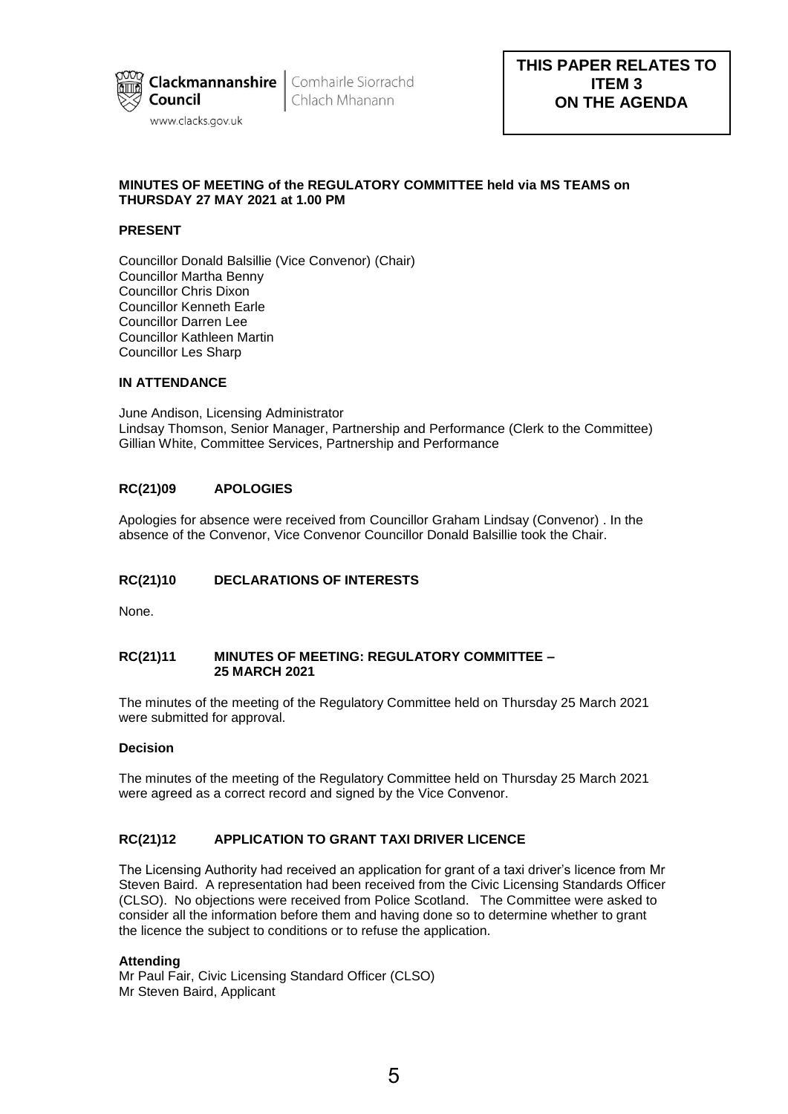

Chlach Mhanann

# **MINUTES OF MEETING of the REGULATORY COMMITTEE held via MS TEAMS on THURSDAY 27 MAY 2021 at 1.00 PM**

# **PRESENT**

Councillor Donald Balsillie (Vice Convenor) (Chair) Councillor Martha Benny Councillor Chris Dixon Councillor Kenneth Earle Councillor Darren Lee Councillor Kathleen Martin Councillor Les Sharp

#### **IN ATTENDANCE**

June Andison, Licensing Administrator Lindsay Thomson, Senior Manager, Partnership and Performance (Clerk to the Committee) Gillian White, Committee Services, Partnership and Performance

# **RC(21)09 APOLOGIES**

Apologies for absence were received from Councillor Graham Lindsay (Convenor) . In the absence of the Convenor, Vice Convenor Councillor Donald Balsillie took the Chair.

## **RC(21)10 DECLARATIONS OF INTERESTS**

None.

## **RC(21)11 MINUTES OF MEETING: REGULATORY COMMITTEE – 25 MARCH 2021**

The minutes of the meeting of the Regulatory Committee held on Thursday 25 March 2021 were submitted for approval.

#### **Decision**

The minutes of the meeting of the Regulatory Committee held on Thursday 25 March 2021 were agreed as a correct record and signed by the Vice Convenor.

## **RC(21)12 APPLICATION TO GRANT TAXI DRIVER LICENCE**

The Licensing Authority had received an application for grant of a taxi driver's licence from Mr Steven Baird. A representation had been received from the Civic Licensing Standards Officer (CLSO). No objections were received from Police Scotland. The Committee were asked to consider all the information before them and having done so to determine whether to grant the licence the subject to conditions or to refuse the application.

## **Attending**

Mr Paul Fair, Civic Licensing Standard Officer (CLSO) Mr Steven Baird, Applicant